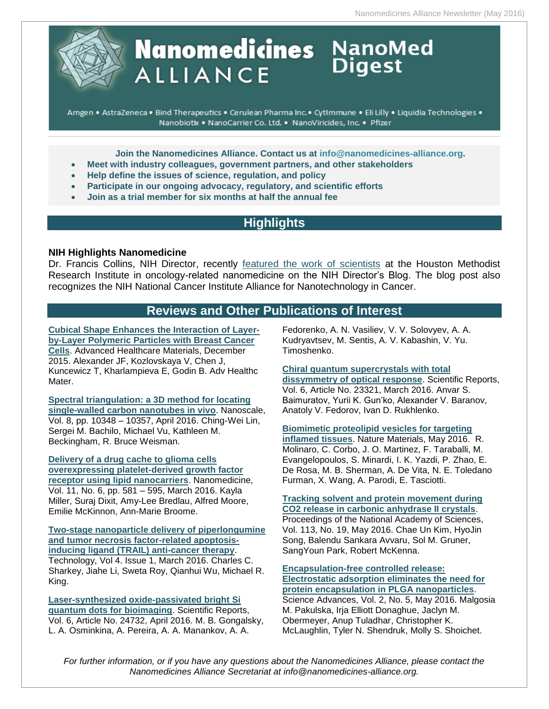

# **Nanomedicines** NanoMed **ALLIANCE**

Amgen . AstraZeneca . Bind Therapeutics . Cerulean Pharma Inc. · CytImmune . Eli Lilly . Liquidia Technologies . Nanobiotix . NanoCarrier Co. Ltd. . NanoViricides, Inc. . Pfizer

**Join the Nanomedicines Alliance. Contact us at [info@nanomedicines-alliance.org.](mailto:info@nanomedicines-alliance.org)**

- **Meet with industry colleagues, government partners, and other stakeholders**
- **Help define the issues of science, regulation, and policy**
- **Participate in our ongoing advocacy, regulatory, and scientific efforts**
- **Join as a trial member for six months at half the annual fee**

## **Highlights**

#### **NIH Highlights Nanomedicine**

Dr. Francis Collins, NIH Director, recently [featured the work of scientists](https://directorsblog.nih.gov/2016/06/23/snapshots-of-life-finding-a-cube-for-cancer/) at the Houston Methodist Research Institute in oncology-related nanomedicine on the NIH Director's Blog. The blog post also recognizes the NIH National Cancer Institute Alliance for Nanotechnology in Cancer.

## **Reviews and Other Publications of Interest**

**[Cubical Shape Enhances the Interaction of Layer](http://www.ncbi.nlm.nih.gov/pubmed/26424126)[by-Layer Polymeric Particles with Breast Cancer](http://www.ncbi.nlm.nih.gov/pubmed/26424126)  [Cells](http://www.ncbi.nlm.nih.gov/pubmed/26424126)**. Advanced Healthcare Materials, December 2015. Alexander JF, Kozlovskaya V, Chen J, Kuncewicz T, Kharlampieva E, Godin B. Adv Healthc Mater.

**[Spectral triangulation: a 3D method for locating](http://pubs.rsc.org/en/Content/ArticleLanding/2016/NR/C6NR01376G#!divAbstract)  [single-walled carbon nanotubes in vivo](http://pubs.rsc.org/en/Content/ArticleLanding/2016/NR/C6NR01376G#!divAbstract)**. Nanoscale, Vol. 8, pp. 10348 – 10357, April 2016. Ching-Wei Lin, Sergei M. Bachilo, Michael Vu, Kathleen M. Beckingham, R. Bruce Weisman.

**[Delivery of a drug cache to glioma cells](http://www.futuremedicine.com/doi/10.2217/nnm.15.218)  [overexpressing platelet-derived growth factor](http://www.futuremedicine.com/doi/10.2217/nnm.15.218)  [receptor using lipid nanocarriers](http://www.futuremedicine.com/doi/10.2217/nnm.15.218)**. Nanomedicine, Vol. 11, No. 6, pp. 581 – 595, March 2016. Kayla Miller, Suraj Dixit, Amy-Lee Bredlau, Alfred Moore, Emilie McKinnon, Ann-Marie Broome.

**[Two-stage nanoparticle delivery of piperlongumine](http://www.worldscientific.com/doi/10.1142/S2339547816500011)  [and tumor necrosis factor-related apoptosis](http://www.worldscientific.com/doi/10.1142/S2339547816500011)[inducing ligand \(TRAIL\) anti-cancer therapy](http://www.worldscientific.com/doi/10.1142/S2339547816500011)**. Technology, Vol 4. Issue 1, March 2016. Charles C. Sharkey, Jiahe Li, Sweta Roy, Qianhui Wu, Michael R. King.

**[Laser-synthesized oxide-passivated bright Si](http://www.nature.com/articles/srep24732)  [quantum dots for bioimaging](http://www.nature.com/articles/srep24732)**. Scientific Reports, Vol. 6, Article No. 24732, April 2016. M. B. Gongalsky, L. A. Osminkina, A. Pereira, A. A. Manankov, A. A.

Fedorenko, A. N. Vasiliev, V. V. Solovyev, A. A. Kudryavtsev, M. Sentis, A. V. Kabashin, V. Yu. Timoshenko.

## **[Chiral quantum supercrystals with total](http://www.nature.com/articles/srep23321)**

**[dissymmetry of optical response](http://www.nature.com/articles/srep23321)**. Scientific Reports, Vol. 6, Article No. 23321, March 2016. Anvar S. Baimuratov, Yurii K. Gun'ko, Alexander V. Baranov, Anatoly V. Fedorov, Ivan D. Rukhlenko.

#### **[Biomimetic proteolipid vesicles for targeting](http://www.nature.com/nmat/journal/vaop/ncurrent/full/nmat4644.html)**

**[inflamed tissues](http://www.nature.com/nmat/journal/vaop/ncurrent/full/nmat4644.html)**. Nature Materials, May 2016. R. Molinaro, C. Corbo, J. O. Martinez, F. Taraballi, M. Evangelopoulos, S. Minardi, I. K. Yazdi, P. Zhao, E. De Rosa, M. B. Sherman, A. De Vita, N. E. Toledano Furman, X. Wang, A. Parodi, E. Tasciotti.

#### **[Tracking solvent and protein movement during](http://www.pnas.org/content/113/19/5257)  [CO2 release in carbonic anhydrase II crystals](http://www.pnas.org/content/113/19/5257)**. Proceedings of the National Academy of Sciences,

Vol. 113, No. 19, May 2016. Chae Un Kim, HyoJin Song, Balendu Sankara Avvaru, Sol M. Gruner, SangYoun Park, Robert McKenna.

**[Encapsulation-free controlled release:](http://advances.sciencemag.org/content/2/5/e1600519)  [Electrostatic adsorption eliminates the need for](http://advances.sciencemag.org/content/2/5/e1600519)  [protein encapsulation in PLGA nanoparticles](http://advances.sciencemag.org/content/2/5/e1600519)**. Science Advances, Vol. 2, No. 5, May 2016. Malgosia M. Pakulska, Irja Elliott Donaghue, Jaclyn M. Obermeyer, Anup Tuladhar, Christopher K. McLaughlin, Tyler N. Shendruk, Molly S. Shoichet.

*For further information, or if you have any questions about the Nanomedicines Alliance, please contact the Nanomedicines Alliance Secretariat at info@nanomedicines-alliance.org.*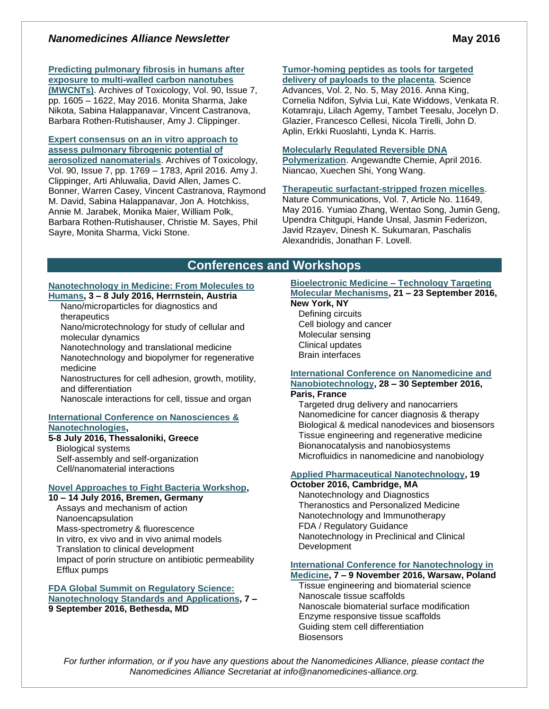## *Nanomedicines Alliance Newsletter* **May 2016**

## **[Predicting pulmonary fibrosis in humans after](http://rd.springer.com/article/10.1007%2Fs00204-016-1742-7)**

**[exposure to multi-walled carbon nanotubes](http://rd.springer.com/article/10.1007%2Fs00204-016-1742-7)  [\(MWCNTs\)](http://rd.springer.com/article/10.1007%2Fs00204-016-1742-7)**. Archives of Toxicology, Vol. 90, Issue 7, pp. 1605 – 1622, May 2016. Monita Sharma, Jake Nikota, Sabina Halappanavar, Vincent Castranova, Barbara Rothen-Rutishauser, Amy J. Clippinger.

## **[Expert consensus on an in vitro approach to](http://rd.springer.com/article/10.1007%2Fs00204-016-1717-8)  [assess pulmonary fibrogenic potential of](http://rd.springer.com/article/10.1007%2Fs00204-016-1717-8)**

**[aerosolized nanomaterials](http://rd.springer.com/article/10.1007%2Fs00204-016-1717-8)**. Archives of Toxicology, Vol. 90, Issue 7, pp. 1769 – 1783, April 2016. Amy J. Clippinger, Arti Ahluwalia, David Allen, James C. Bonner, Warren Casey, Vincent Castranova, Raymond M. David, Sabina Halappanavar, Jon A. Hotchkiss, Annie M. Jarabek, Monika Maier, William Polk, Barbara Rothen-Rutishauser, Christie M. Sayes, Phil Sayre, Monita Sharma, Vicki Stone.

## **[Tumor-homing peptides as tools for targeted](http://advances.sciencemag.org/content/2/5/e1600349)**

**[delivery of payloads to the placenta](http://advances.sciencemag.org/content/2/5/e1600349)**. Science Advances, Vol. 2, No. 5, May 2016. Anna King, Cornelia Ndifon, Sylvia Lui, Kate Widdows, Venkata R. Kotamraju, Lilach Agemy, Tambet Teesalu, Jocelyn D. Glazier, Francesco Cellesi, Nicola Tirelli, John D. Aplin, Erkki Ruoslahti, Lynda K. Harris.

#### **[Molecularly Regulated Reversible DNA](http://onlinelibrary.wiley.com/doi/10.1002/anie.201601008/abstract;jsessionid=C87ECD8FDB846C65ED79639020B70970.f03t04)**

**[Polymerization](http://onlinelibrary.wiley.com/doi/10.1002/anie.201601008/abstract;jsessionid=C87ECD8FDB846C65ED79639020B70970.f03t04)**. Angewandte Chemie, April 2016. Niancao, Xuechen Shi, Yong Wang.

## **[Therapeutic surfactant-stripped frozen micelles](http://www.nature.com/ncomms/2016/160519/ncomms11649/full/ncomms11649.html)**.

Nature Communications, Vol. 7, Article No. 11649, May 2016. Yumiao Zhang, Wentao Song, Jumin Geng, Upendra Chitgupi, Hande Unsal, Jasmin Federizon, Javid Rzayev, Dinesh K. Sukumaran, Paschalis Alexandridis, Jonathan F. Lovell.

## **Conferences and Workshops**

## **[Nanotechnology in Medicine: From Molecules to](http://www.engconf.org/conferences/biotechnology/nanotechnology-in-medicine-from-molecules-to-humans/)**

## **[Humans,](http://www.engconf.org/conferences/biotechnology/nanotechnology-in-medicine-from-molecules-to-humans/) 3 – 8 July 2016, Herrnstein, Austria**

Nano/microparticles for diagnostics and therapeutics

Nano/microtechnology for study of cellular and molecular dynamics

Nanotechnology and translational medicine Nanotechnology and biopolymer for regenerative medicine

Nanostructures for cell adhesion, growth, motility, and differentiation

Nanoscale interactions for cell, tissue and organ

## **[International Conference on Nanosciences](http://www.nanotexnology.com/index.php/about-nn16/80-nn-category/130-workshop-3) & [Nanotechnologies,](http://www.nanotexnology.com/index.php/about-nn16/80-nn-category/130-workshop-3)**

## **5-8 July 2016, Thessaloniki, Greece**

Biological systems Self-assembly and self-organization Cell/nanomaterial interactions

## **[Novel Approaches to Fight Bacteria Workshop,](http://m.jacobs-university.de/event/07-10-14/2016-workshop-novel-approaches-to-fight-bacteria)**

**10 – 14 July 2016, Bremen, Germany** Assays and mechanism of action Nanoencapsulation Mass-spectrometry & fluorescence In vitro, ex vivo and in vivo animal models Translation to clinical development Impact of porin structure on antibiotic permeability Efflux pumps

#### **[FDA Global Summit on Regulatory Science:](http://www.fda.gov/AboutFDA/CentersOffices/OC/OfficeofScientificandMedicalPrograms/NCTR/WhatWeDo/ucm488022.htm)  [Nanotechnology Standards and Applications,](http://www.fda.gov/AboutFDA/CentersOffices/OC/OfficeofScientificandMedicalPrograms/NCTR/WhatWeDo/ucm488022.htm) 7 – 9 September 2016, Bethesda, MD**

#### **[Bioelectronic Medicine –](http://www.nyas.org/Events/Detail.aspx?cid=232a2344-a1dd-461c-bcad-e857cbb6763b) Technology Targeting [Molecular Mechanisms,](http://www.nyas.org/Events/Detail.aspx?cid=232a2344-a1dd-461c-bcad-e857cbb6763b) 21 – 23 September 2016,**

#### **New York, NY**

Defining circuits Cell biology and cancer Molecular sensing Clinical updates Brain interfaces

## **[International Conference on Nanomedicine and](http://premc.org/iconan2016/)  [Nanobiotechnology,](http://premc.org/iconan2016/) 28 – 30 September 2016,**

## **Paris, France**

Targeted drug delivery and nanocarriers Nanomedicine for cancer diagnosis & therapy Biological & medical nanodevices and biosensors Tissue engineering and regenerative medicine Bionanocatalysis and nanobiosystems Microfluidics in nanomedicine and nanobiology

## **[Applied Pharmaceutical Nanotechnology,](http://www.bostonsociety.org/APN/) 19**

#### **October 2016, Cambridge, MA**

Nanotechnology and Diagnostics Theranostics and Personalized Medicine Nanotechnology and Immunotherapy FDA / Regulatory Guidance Nanotechnology in Preclinical and Clinical Development

## **[International Conference for Nanotechnology in](http://www.nanomed.uk.com/topics.html)**

#### **[Medicine,](http://www.nanomed.uk.com/topics.html) 7 – 9 November 2016, Warsaw, Poland** Tissue engineering and biomaterial science

Nanoscale tissue scaffolds Nanoscale biomaterial surface modification Enzyme responsive tissue scaffolds Guiding stem cell differentiation **Biosensors** 

*For further information, or if you have any questions about the Nanomedicines Alliance, please contact the Nanomedicines Alliance Secretariat at info@nanomedicines-alliance.org.*